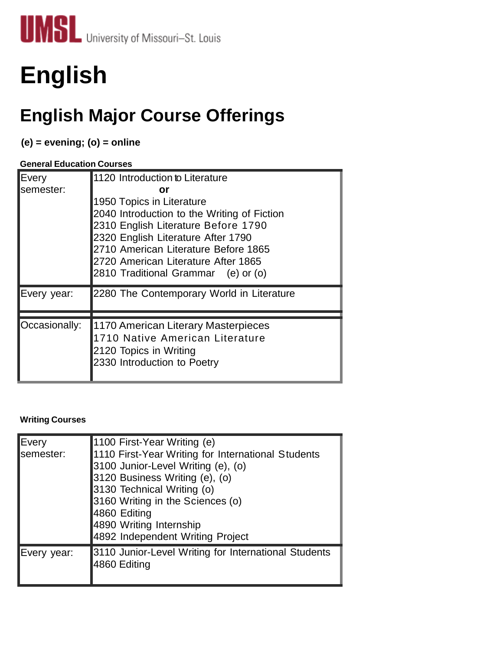

# **English**

## **English Major Course Offerings**

### **(e) = evening; (o) = online**

#### **General Education Courses**

| Every<br>semester: | 1120 Introduction to Literature<br>or<br>1950 Topics in Literature<br>2040 Introduction to the Writing of Fiction<br>2310 English Literature Before 1790<br>2320 English Literature After 1790<br>2710 American Literature Before 1865<br>2720 American Literature After 1865<br>2810 Traditional Grammar (e) or (o) |
|--------------------|----------------------------------------------------------------------------------------------------------------------------------------------------------------------------------------------------------------------------------------------------------------------------------------------------------------------|
| Every year:        | 2280 The Contemporary World in Literature                                                                                                                                                                                                                                                                            |
| Occasionally:      | 1170 American Literary Masterpieces<br>1710 Native American Literature<br>2120 Topics in Writing<br>2330 Introduction to Poetry                                                                                                                                                                                      |

#### **Writing Courses**

| Every<br>lsemester: | 1100 First-Year Writing (e)<br>1110 First-Year Writing for International Students<br>3100 Junior-Level Writing (e), (o)<br>3120 Business Writing (e), (o)<br>3130 Technical Writing (o)<br>3160 Writing in the Sciences (o)<br>4860 Editing<br>4890 Writing Internship<br>4892 Independent Writing Project |
|---------------------|------------------------------------------------------------------------------------------------------------------------------------------------------------------------------------------------------------------------------------------------------------------------------------------------------------|
| Every year:         | 3110 Junior-Level Writing for International Students<br>4860 Editing                                                                                                                                                                                                                                       |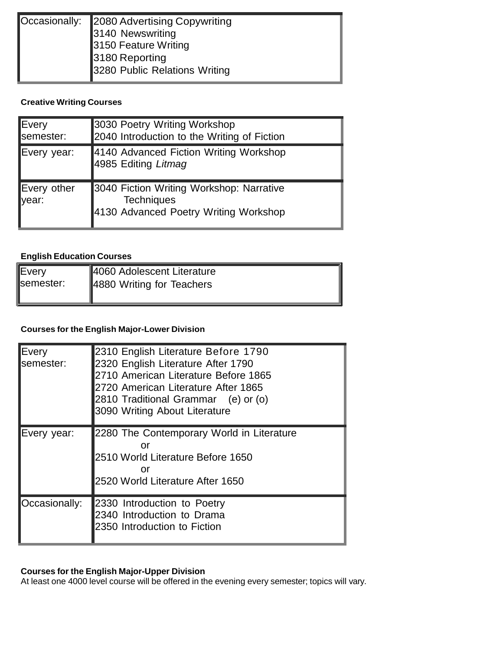| Occasionally: 2080 Advertising Copywriting |
|--------------------------------------------|
| 3140 Newswriting                           |
| 3150 Feature Writing                       |
| 3180 Reporting                             |
| 3280 Public Relations Writing              |
|                                            |

#### **Creative Writing Courses**

| Every<br>semester:   | 3030 Poetry Writing Workshop<br>2040 Introduction to the Writing of Fiction                            |
|----------------------|--------------------------------------------------------------------------------------------------------|
| Every year:          | 4140 Advanced Fiction Writing Workshop<br>4985 Editing Litmag                                          |
| Every other<br>year: | 3040 Fiction Writing Workshop: Narrative<br><b>Techniques</b><br>4130 Advanced Poetry Writing Workshop |

#### **English Education Courses**

| lEvery             | 4060 Adolescent Literature |
|--------------------|----------------------------|
| <b>I</b> semester: | 4880 Writing for Teachers  |
|                    |                            |

#### **Courses for the English Major-Lower Division**

| <b>IEvery</b><br>semester: | 2310 English Literature Before 1790<br>2320 English Literature After 1790<br>2710 American Literature Before 1865<br>2720 American Literature After 1865<br>2810 Traditional Grammar (e) or (o)<br>3090 Writing About Literature |
|----------------------------|----------------------------------------------------------------------------------------------------------------------------------------------------------------------------------------------------------------------------------|
| Every year:                | 2280 The Contemporary World in Literature<br>Ωr<br>2510 World Literature Before 1650<br>or<br>2520 World Literature After 1650                                                                                                   |
| Occasionally:              | 2330 Introduction to Poetry<br>2340 Introduction to Drama<br>2350 Introduction to Fiction                                                                                                                                        |

#### **Courses for the English Major-Upper Division**

At least one 4000 level course will be offered in the evening every semester; topics will vary.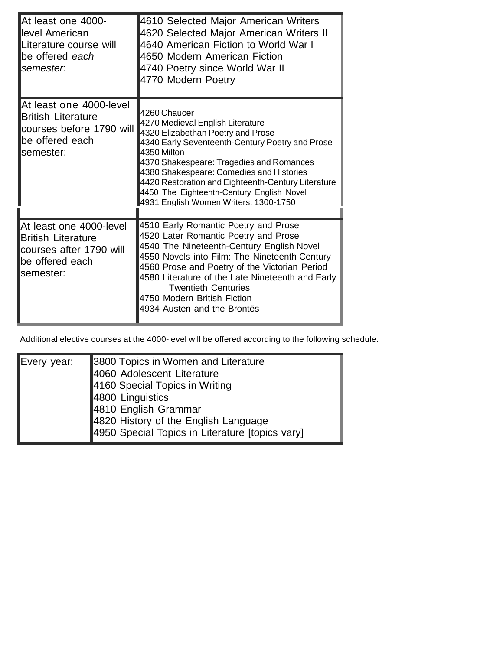| At least one 4000-<br>level American<br>Literature course will<br>be offered each<br>semester:                   | 4610 Selected Major American Writers<br>4620 Selected Major American Writers II<br>4640 American Fiction to World War I<br>4650 Modern American Fiction<br>4740 Poetry since World War II<br>4770 Modern Poetry                                                                                                                                                                             |
|------------------------------------------------------------------------------------------------------------------|---------------------------------------------------------------------------------------------------------------------------------------------------------------------------------------------------------------------------------------------------------------------------------------------------------------------------------------------------------------------------------------------|
| At least one 4000-level<br><b>British Literature</b><br>courses before 1790 will<br>be offered each<br>semester: | 4260 Chaucer<br>4270 Medieval English Literature<br>4320 Elizabethan Poetry and Prose<br>4340 Early Seventeenth-Century Poetry and Prose<br>4350 Milton<br>4370 Shakespeare: Tragedies and Romances<br>4380 Shakespeare: Comedies and Histories<br>4420 Restoration and Eighteenth-Century Literature<br>4450 The Eighteenth-Century English Novel<br>4931 English Women Writers, 1300-1750 |
| At least one 4000-level<br><b>British Literature</b><br>courses after 1790 will<br>be offered each<br>semester:  | 4510 Early Romantic Poetry and Prose<br>4520 Later Romantic Poetry and Prose<br>4540 The Nineteenth-Century English Novel<br>4550 Novels into Film: The Nineteenth Century<br>4560 Prose and Poetry of the Victorian Period<br>4580 Literature of the Late Nineteenth and Early<br><b>Twentieth Centuries</b><br>4750 Modern British Fiction<br>4934 Austen and the Brontës                 |

Additional elective courses at the 4000-level will be offered according to the following schedule:

| Every year: | 3800 Topics in Women and Literature             |
|-------------|-------------------------------------------------|
|             | 4060 Adolescent Literature                      |
|             | 4160 Special Topics in Writing                  |
|             | 4800 Linguistics                                |
|             | 4810 English Grammar                            |
|             | 4820 History of the English Language            |
|             | 4950 Special Topics in Literature [topics vary] |